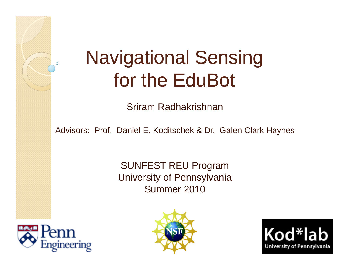# Navigational Sensing for the EduBot

Sriram Radhakrishnan

Advisors: Prof. Daniel E. Koditschek & Dr. Galen Clark Haynes

SUNFEST REU Program University of Pennsylvania Summer 2010





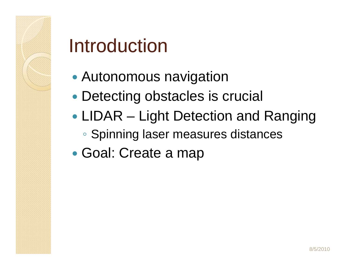# Introduction

- $\bullet$ Autonomous navigation
- $\bullet$ Detecting obstacles is crucial
- LIDAR Light Detection and Ranging
	- Spinning laser measures distances
- $\bullet$ • Goal: Create a map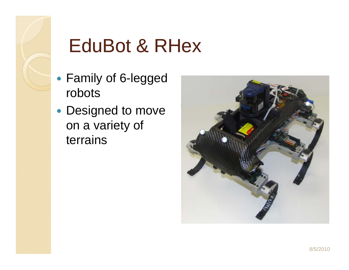

# EduBot & RHex

- Family of 6-legged robots
- Designed to move on a variety of terrains

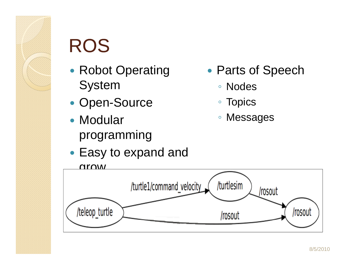# ROS

- $\bullet$ • Robot Operating System
- $\bullet$ • Open-Source
- Modular Messages programming
- Easy to expand and
- $\bullet$ • Parts of Speech
	- ∘ Nodes
	- $\bullet$ **Topics**
	- $^{\circ}$ Messages

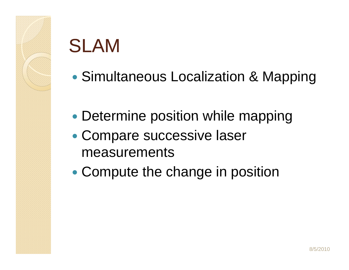# SLAM

- $\bullet$ • Simultaneous Localization & Mapping
- $\bullet$ • Determine position while mapping
- $\bullet$ • Compare successive laser measurements
- $\bullet$ Compute the change in position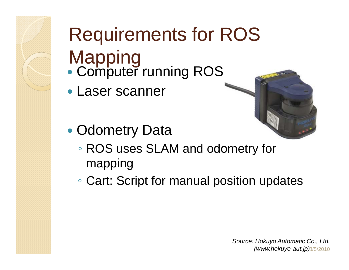# Requirements for ROS

- Mapping  $\bullet$ Computer running ROS
- Laser scanner

• Odometry Data

 $\bullet$ 



- ROS uses SLAM and odometry for mapping
- Cart: Script for manual position updates

8/5/2010*(www.hokuyo-aut.jp)Source: Hokuyo Automatic Co., Ltd.*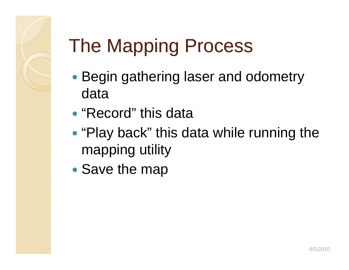# The Mapping Process

- Begin gathering laser and odometry data
- "Record" this data \_\_\_\_\_\_\_
- $\bullet$ • "Play back" this data while running the mapping utility
- $\bullet$ • Save the map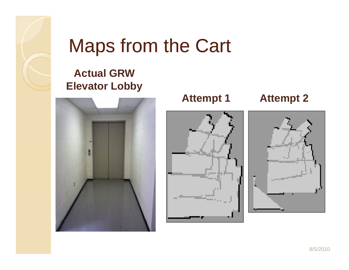

### Maps from the Cart

### **Actual GRW El t L bb Eleva tor obby**







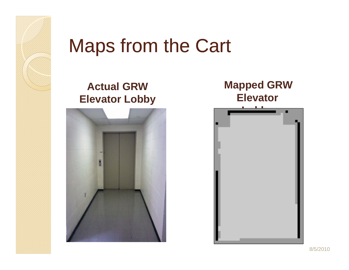

### Maps from the Cart

### **A t l GRW c tual Elevator Lobby**



#### **Mapped GRW Elevator**

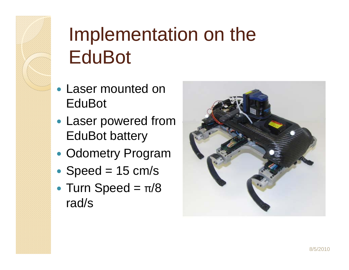# Implementation on the **EduBot**

- Laser mounted on EduBot
- Laser powered from EduBot battery
- $\bullet$ • Odometry Program
- $\bullet$ • Speed =  $15$  cm/s
- $\bullet$ • Turn Speed  $= \pi/8$ rad/s

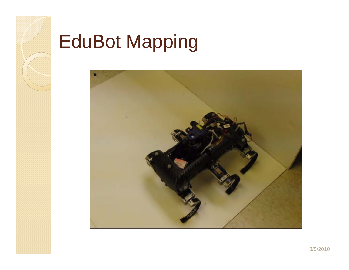

# **EduBot Mapping**

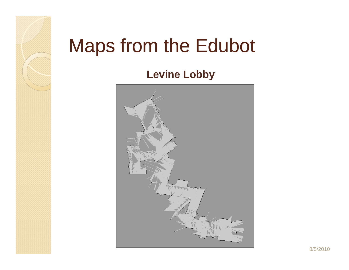# Maps from the Edubot

**Levine Lobby**

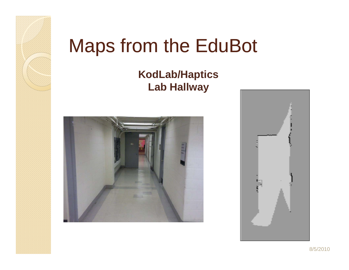# Maps from the EduBot

#### **KodLab/Haptics L b H ll a allway**



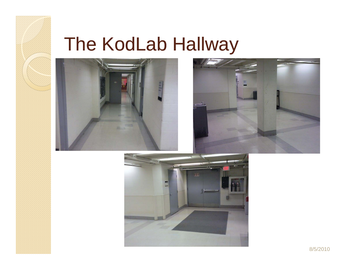# The KodLab Hallway





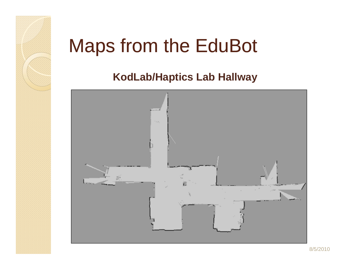# Maps from the EduBot

### **KodLab/Haptics Lab Hallway**

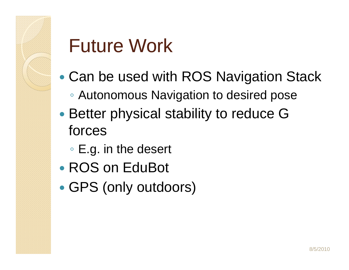# Future Work

- $\bullet$  Can be used with ROS Navigation Stack ◦ Autonomous Navigation to desired pose
- $\bullet$ • Better physical stability to reduce G forces
	- $\circ$  E.g. in the desert
- ROS on EduBot
- $\bullet$ • GPS (only outdoors)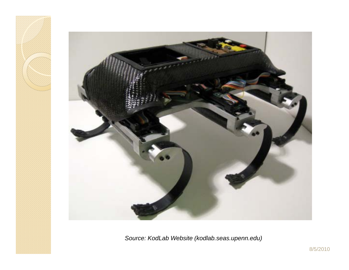

*Source: KodLab Website (kodlab.seas.upenn.edu)*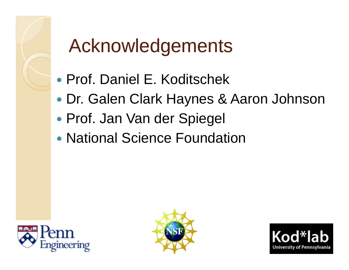# Acknowledgements

- Prof. Daniel E. Koditschek
- $\bullet$ Dr. Galen Clark Haynes & Aaron Johnson
- $\bullet$ • Prof. Jan Van der Spiegel
- National Science Foundation